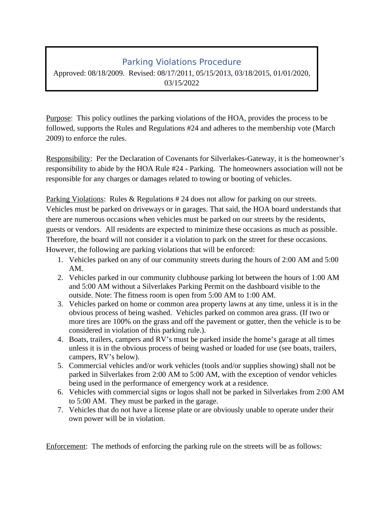## Parking Violations Procedure

Approved: 08/18/2009. Revised: 08/17/2011, 05/15/2013, 03/18/2015, 01/01/2020, 03/15/2022

Purpose: This policy outlines the parking violations of the HOA, provides the process to be followed, supports the Rules and Regulations #24 and adheres to the membership vote (March 2009) to enforce the rules.

Responsibility: Per the Declaration of Covenants for Silverlakes-Gateway, it is the homeowner's responsibility to abide by the HOA Rule #24 - Parking. The homeowners association will not be responsible for any charges or damages related to towing or booting of vehicles.

Parking Violations: Rules & Regulations # 24 does not allow for parking on our streets. Vehicles must be parked on driveways or in garages. That said, the HOA board understands that there are numerous occasions when vehicles must be parked on our streets by the residents, guests or vendors. All residents are expected to minimize these occasions as much as possible. Therefore, the board will not consider it a violation to park on the street for these occasions. However, the following are parking violations that will be enforced:

- 1. Vehicles parked on any of our community streets during the hours of 2:00 AM and 5:00 AM.
- 2. Vehicles parked in our community clubhouse parking lot between the hours of 1:00 AM and 5:00 AM without a Silverlakes Parking Permit on the dashboard visible to the outside. Note: The fitness room is open from 5:00 AM to 1:00 AM.
- 3. Vehicles parked on home or common area property lawns at any time, unless it is in the obvious process of being washed. Vehicles parked on common area grass. (If two or more tires are 100% on the grass and off the pavement or gutter, then the vehicle is to be considered in violation of this parking rule.).
- 4. Boats, trailers, campers and RV's must be parked inside the home's garage at all times unless it is in the obvious process of being washed or loaded for use (see boats, trailers, campers, RV's below).
- 5. Commercial vehicles and/or work vehicles (tools and/or supplies showing) shall not be parked in Silverlakes from 2:00 AM to 5:00 AM, with the exception of vendor vehicles being used in the performance of emergency work at a residence.
- 6. Vehicles with commercial signs or logos shall not be parked in Silverlakes from 2:00 AM to 5:00 AM. They must be parked in the garage.
- 7. Vehicles that do not have a license plate or are obviously unable to operate under their own power will be in violation.

Enforcement: The methods of enforcing the parking rule on the streets will be as follows: